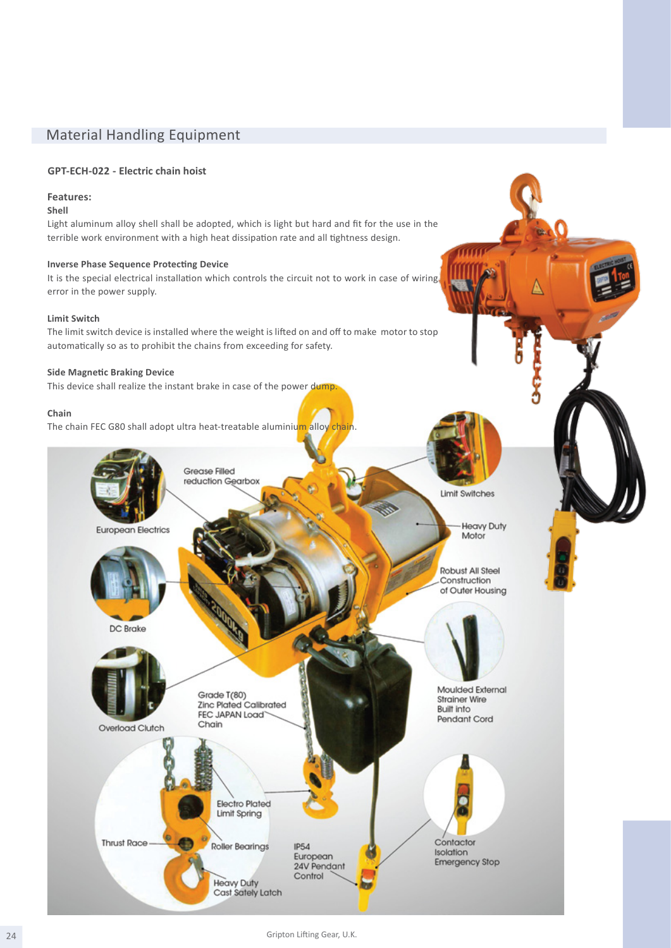# Material Handling Equipment

#### **GPT-ECH-022 - Electric chain hoist**

#### **Features:**

### **Shell**

Light aluminum alloy shell shall be adopted, which is light but hard and fit for the use in the terrible work environment with a high heat dissipation rate and all tightness design.

#### **Inverse Phase Sequence Protecting Device**

It is the special electrical installation which controls the circuit not to work in case of wiring error in the power supply.

#### **Limit Switch**

The limit switch device is installed where the weight is lifted on and off to make motor to stop automatically so as to prohibit the chains from exceeding for safety.

#### **Side Magnetic Braking Device**

This device shall realize the instant brake in case of the power dump.

#### **Chain**

The chain FEC G80 shall adopt ultra heat-treatable aluminium alloy chain.